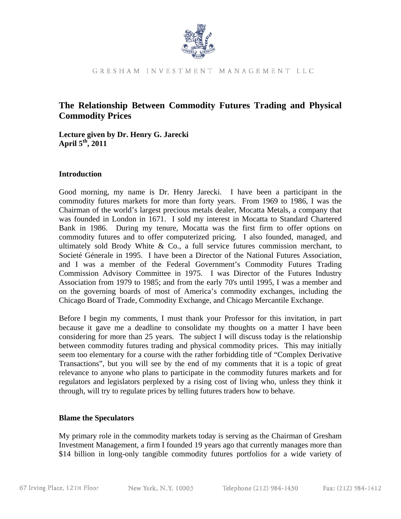

GRESHAM INVESTMENT MANAGEMENT LLC

### **The Relationship Between Commodity Futures Trading and Physical Commodity Prices**

**Lecture given by Dr. Henry G. Jarecki April 5th, 2011** 

### **Introduction**

Good morning, my name is Dr. Henry Jarecki. I have been a participant in the commodity futures markets for more than forty years. From 1969 to 1986, I was the Chairman of the world's largest precious metals dealer, Mocatta Metals, a company that was founded in London in 1671. I sold my interest in Mocatta to Standard Chartered Bank in 1986. During my tenure, Mocatta was the first firm to offer options on commodity futures and to offer computerized pricing. I also founded, managed, and ultimately sold Brody White  $\&$  Co., a full service futures commission merchant, to Societé Génerale in 1995. I have been a Director of the National Futures Association, and I was a member of the Federal Government's Commodity Futures Trading Commission Advisory Committee in 1975. I was Director of the Futures Industry Association from 1979 to 1985; and from the early 70's until 1995, I was a member and on the governing boards of most of America's commodity exchanges, including the Chicago Board of Trade, Commodity Exchange, and Chicago Mercantile Exchange.

Before I begin my comments, I must thank your Professor for this invitation, in part because it gave me a deadline to consolidate my thoughts on a matter I have been considering for more than 25 years. The subject I will discuss today is the relationship between commodity futures trading and physical commodity prices. This may initially seem too elementary for a course with the rather forbidding title of "Complex Derivative Transactions", but you will see by the end of my comments that it is a topic of great relevance to anyone who plans to participate in the commodity futures markets and for regulators and legislators perplexed by a rising cost of living who, unless they think it through, will try to regulate prices by telling futures traders how to behave.

### **Blame the Speculators**

My primary role in the commodity markets today is serving as the Chairman of Gresham Investment Management, a firm I founded 19 years ago that currently manages more than \$14 billion in long-only tangible commodity futures portfolios for a wide variety of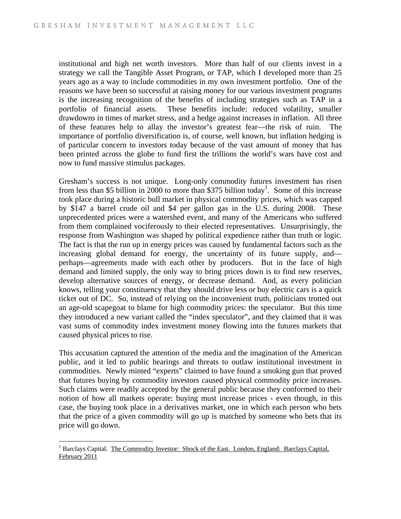institutional and high net worth investors. More than half of our clients invest in a strategy we call the Tangible Asset Program, or TAP, which I developed more than 25 years ago as a way to include commodities in my own investment portfolio. One of the reasons we have been so successful at raising money for our various investment programs is the increasing recognition of the benefits of including strategies such as TAP in a portfolio of financial assets. These benefits include: reduced volatility, smaller drawdowns in times of market stress, and a hedge against increases in inflation. All three of these features help to allay the investor's greatest fear—the risk of ruin. The importance of portfolio diversification is, of course, well known, but inflation hedging is of particular concern to investors today because of the vast amount of money that has been printed across the globe to fund first the trillions the world's wars have cost and now to fund massive stimulus packages.

Gresham's success is not unique. Long-only commodity futures investment has risen from less than \$5 billion in 2000 to more than \$375 billion today<sup>1</sup>. Some of this increase took place during a historic bull market in physical commodity prices, which was capped by \$147 a barrel crude oil and \$4 per gallon gas in the U.S. during 2008. These unprecedented prices were a watershed event, and many of the Americans who suffered from them complained vociferously to their elected representatives. Unsurprisingly, the response from Washington was shaped by political expedience rather than truth or logic. The fact is that the run up in energy prices was caused by fundamental factors such as the increasing global demand for energy, the uncertainty of its future supply, and perhaps—agreements made with each other by producers. But in the face of high demand and limited supply, the only way to bring prices down is to find new reserves, develop alternative sources of energy, or decrease demand. And, as every politician knows, telling your constituency that they should drive less or buy electric cars is a quick ticket out of DC. So, instead of relying on the inconvenient truth, politicians trotted out an age-old scapegoat to blame for high commodity prices: the speculator. But this time they introduced a new variant called the "index speculator", and they claimed that it was vast sums of commodity index investment money flowing into the futures markets that caused physical prices to rise.

This accusation captured the attention of the media and the imagination of the American public, and it led to public hearings and threats to outlaw institutional investment in commodities. Newly minted "experts" claimed to have found a smoking gun that proved that futures buying by commodity investors caused physical commodity price increases. Such claims were readily accepted by the general public because they conformed to their notion of how all markets operate: buying must increase prices - even though, in this case, the buying took place in a derivatives market, one in which each person who bets that the price of a given commodity will go up is matched by someone who bets that its price will go down.

 $\overline{a}$ 

<sup>&</sup>lt;sup>1</sup> Barclays Capital. The Commodity Investor: Shock of the East. London, England: Barclays Capital, February 2011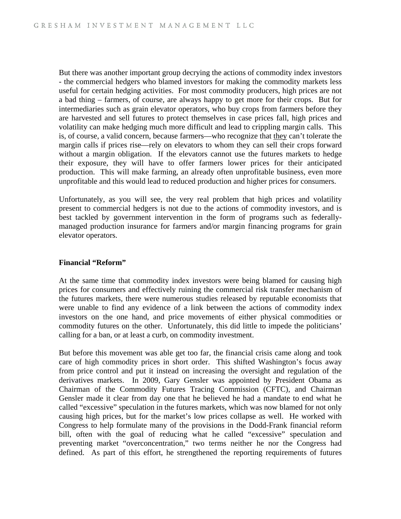But there was another important group decrying the actions of commodity index investors - the commercial hedgers who blamed investors for making the commodity markets less useful for certain hedging activities. For most commodity producers, high prices are not a bad thing – farmers, of course, are always happy to get more for their crops. But for intermediaries such as grain elevator operators, who buy crops from farmers before they are harvested and sell futures to protect themselves in case prices fall, high prices and volatility can make hedging much more difficult and lead to crippling margin calls. This is, of course, a valid concern, because farmers—who recognize that they can't tolerate the margin calls if prices rise—rely on elevators to whom they can sell their crops forward without a margin obligation. If the elevators cannot use the futures markets to hedge their exposure, they will have to offer farmers lower prices for their anticipated production. This will make farming, an already often unprofitable business, even more unprofitable and this would lead to reduced production and higher prices for consumers.

Unfortunately, as you will see, the very real problem that high prices and volatility present to commercial hedgers is not due to the actions of commodity investors, and is best tackled by government intervention in the form of programs such as federallymanaged production insurance for farmers and/or margin financing programs for grain elevator operators.

### **Financial "Reform"**

At the same time that commodity index investors were being blamed for causing high prices for consumers and effectively ruining the commercial risk transfer mechanism of the futures markets, there were numerous studies released by reputable economists that were unable to find any evidence of a link between the actions of commodity index investors on the one hand, and price movements of either physical commodities or commodity futures on the other. Unfortunately, this did little to impede the politicians' calling for a ban, or at least a curb, on commodity investment.

But before this movement was able get too far, the financial crisis came along and took care of high commodity prices in short order. This shifted Washington's focus away from price control and put it instead on increasing the oversight and regulation of the derivatives markets. In 2009, Gary Gensler was appointed by President Obama as Chairman of the Commodity Futures Tracing Commission (CFTC), and Chairman Gensler made it clear from day one that he believed he had a mandate to end what he called "excessive" speculation in the futures markets, which was now blamed for not only causing high prices, but for the market's low prices collapse as well. He worked with Congress to help formulate many of the provisions in the Dodd-Frank financial reform bill, often with the goal of reducing what he called "excessive" speculation and preventing market "overconcentration," two terms neither he nor the Congress had defined. As part of this effort, he strengthened the reporting requirements of futures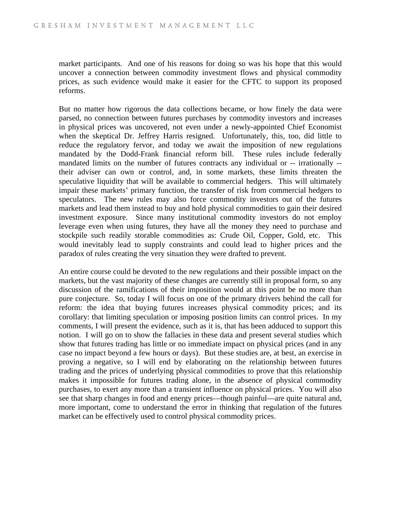market participants. And one of his reasons for doing so was his hope that this would uncover a connection between commodity investment flows and physical commodity prices, as such evidence would make it easier for the CFTC to support its proposed reforms.

But no matter how rigorous the data collections became, or how finely the data were parsed, no connection between futures purchases by commodity investors and increases in physical prices was uncovered, not even under a newly-appointed Chief Economist when the skeptical Dr. Jeffrey Harris resigned. Unfortunately, this, too, did little to reduce the regulatory fervor, and today we await the imposition of new regulations mandated by the Dodd-Frank financial reform bill. These rules include federally mandated limits on the number of futures contracts any individual or -- irrationally - their adviser can own or control, and, in some markets, these limits threaten the speculative liquidity that will be available to commercial hedgers. This will ultimately impair these markets' primary function, the transfer of risk from commercial hedgers to speculators. The new rules may also force commodity investors out of the futures markets and lead them instead to buy and hold physical commodities to gain their desired investment exposure. Since many institutional commodity investors do not employ leverage even when using futures, they have all the money they need to purchase and stockpile such readily storable commodities as: Crude Oil, Copper, Gold, etc. This would inevitably lead to supply constraints and could lead to higher prices and the paradox of rules creating the very situation they were drafted to prevent.

An entire course could be devoted to the new regulations and their possible impact on the markets, but the vast majority of these changes are currently still in proposal form, so any discussion of the ramifications of their imposition would at this point be no more than pure conjecture. So, today I will focus on one of the primary drivers behind the call for reform: the idea that buying futures increases physical commodity prices; and its corollary: that limiting speculation or imposing position limits can control prices. In my comments, I will present the evidence, such as it is, that has been adduced to support this notion. I will go on to show the fallacies in these data and present several studies which show that futures trading has little or no immediate impact on physical prices (and in any case no impact beyond a few hours or days). But these studies are, at best, an exercise in proving a negative, so I will end by elaborating on the relationship between futures trading and the prices of underlying physical commodities to prove that this relationship makes it impossible for futures trading alone, in the absence of physical commodity purchases, to exert any more than a transient influence on physical prices. You will also see that sharp changes in food and energy prices—though painful—are quite natural and, more important, come to understand the error in thinking that regulation of the futures market can be effectively used to control physical commodity prices.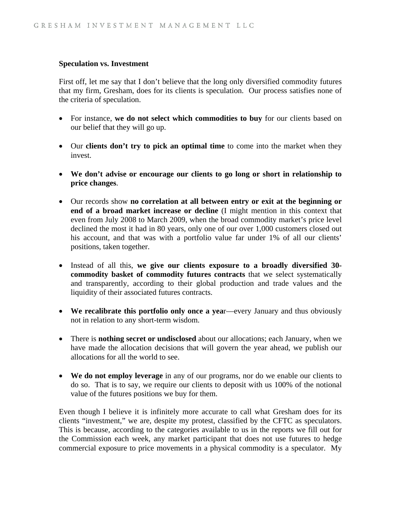### **Speculation vs. Investment**

First off, let me say that I don't believe that the long only diversified commodity futures that my firm, Gresham, does for its clients is speculation. Our process satisfies none of the criteria of speculation.

- For instance, **we do not select which commodities to buy** for our clients based on our belief that they will go up.
- Our **clients don't try to pick an optimal time** to come into the market when they invest.
- **We don't advise or encourage our clients to go long or short in relationship to price changes**.
- Our records show **no correlation at all between entry or exit at the beginning or end of a broad market increase or decline** (I might mention in this context that even from July 2008 to March 2009, when the broad commodity market's price level declined the most it had in 80 years, only one of our over 1,000 customers closed out his account, and that was with a portfolio value far under 1% of all our clients' positions, taken together.
- Instead of all this, **we give our clients exposure to a broadly diversified 30 commodity basket of commodity futures contracts** that we select systematically and transparently, according to their global production and trade values and the liquidity of their associated futures contracts.
- We recalibrate this portfolio only once a year—every January and thus obviously not in relation to any short-term wisdom.
- There is **nothing secret or undisclosed** about our allocations; each January, when we have made the allocation decisions that will govern the year ahead, we publish our allocations for all the world to see.
- **We do not employ leverage** in any of our programs, nor do we enable our clients to do so. That is to say, we require our clients to deposit with us 100% of the notional value of the futures positions we buy for them.

Even though I believe it is infinitely more accurate to call what Gresham does for its clients "investment," we are, despite my protest, classified by the CFTC as speculators. This is because, according to the categories available to us in the reports we fill out for the Commission each week, any market participant that does not use futures to hedge commercial exposure to price movements in a physical commodity is a speculator. My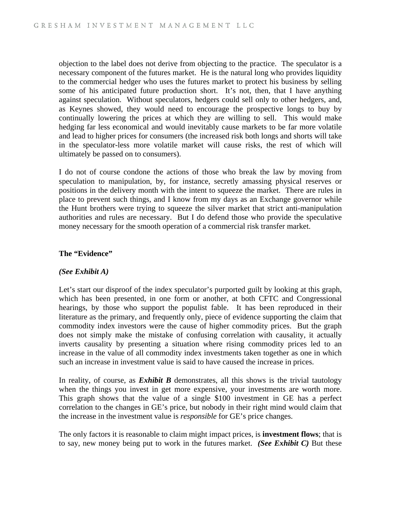objection to the label does not derive from objecting to the practice. The speculator is a necessary component of the futures market. He is the natural long who provides liquidity to the commercial hedger who uses the futures market to protect his business by selling some of his anticipated future production short. It's not, then, that I have anything against speculation. Without speculators, hedgers could sell only to other hedgers, and, as Keynes showed, they would need to encourage the prospective longs to buy by continually lowering the prices at which they are willing to sell. This would make hedging far less economical and would inevitably cause markets to be far more volatile and lead to higher prices for consumers (the increased risk both longs and shorts will take in the speculator-less more volatile market will cause risks, the rest of which will ultimately be passed on to consumers).

I do not of course condone the actions of those who break the law by moving from speculation to manipulation, by, for instance, secretly amassing physical reserves or positions in the delivery month with the intent to squeeze the market. There are rules in place to prevent such things, and I know from my days as an Exchange governor while the Hunt brothers were trying to squeeze the silver market that strict anti-manipulation authorities and rules are necessary. But I do defend those who provide the speculative money necessary for the smooth operation of a commercial risk transfer market.

### **The "Evidence"**

### *(See Exhibit A)*

Let's start our disproof of the index speculator's purported guilt by looking at this graph, which has been presented, in one form or another, at both CFTC and Congressional hearings, by those who support the populist fable. It has been reproduced in their literature as the primary, and frequently only, piece of evidence supporting the claim that commodity index investors were the cause of higher commodity prices. But the graph does not simply make the mistake of confusing correlation with causality, it actually inverts causality by presenting a situation where rising commodity prices led to an increase in the value of all commodity index investments taken together as one in which such an increase in investment value is said to have caused the increase in prices.

In reality, of course, as *Exhibit B* demonstrates, all this shows is the trivial tautology when the things you invest in get more expensive, your investments are worth more. This graph shows that the value of a single \$100 investment in GE has a perfect correlation to the changes in GE's price, but nobody in their right mind would claim that the increase in the investment value is *responsible* for GE's price changes.

The only factors it is reasonable to claim might impact prices, is **investment flows**; that is to say, new money being put to work in the futures market. *(See Exhibit C)* But these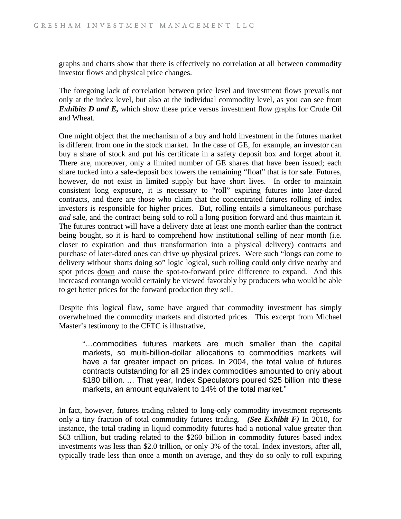graphs and charts show that there is effectively no correlation at all between commodity investor flows and physical price changes.

The foregoing lack of correlation between price level and investment flows prevails not only at the index level, but also at the individual commodity level, as you can see from *Exhibits D and E,* which show these price versus investment flow graphs for Crude Oil and Wheat.

One might object that the mechanism of a buy and hold investment in the futures market is different from one in the stock market. In the case of GE, for example, an investor can buy a share of stock and put his certificate in a safety deposit box and forget about it. There are, moreover, only a limited number of GE shares that have been issued; each share tucked into a safe-deposit box lowers the remaining "float" that is for sale. Futures, however, do not exist in limited supply but have short lives. In order to maintain consistent long exposure, it is necessary to "roll" expiring futures into later-dated contracts, and there are those who claim that the concentrated futures rolling of index investors is responsible for higher prices. But, rolling entails a simultaneous purchase *and* sale, and the contract being sold to roll a long position forward and thus maintain it. The futures contract will have a delivery date at least one month earlier than the contract being bought, so it is hard to comprehend how institutional selling of near month (i.e. closer to expiration and thus transformation into a physical delivery) contracts and purchase of later-dated ones can drive *up* physical prices. Were such "longs can come to delivery without shorts doing so" logic logical, such rolling could only drive nearby and spot prices down and cause the spot-to-forward price difference to expand. And this increased contango would certainly be viewed favorably by producers who would be able to get better prices for the forward production they sell.

Despite this logical flaw, some have argued that commodity investment has simply overwhelmed the commodity markets and distorted prices. This excerpt from Michael Master's testimony to the CFTC is illustrative,

"…commodities futures markets are much smaller than the capital markets, so multi-billion-dollar allocations to commodities markets will have a far greater impact on prices. In 2004, the total value of futures contracts outstanding for all 25 index commodities amounted to only about \$180 billion. … That year, Index Speculators poured \$25 billion into these markets, an amount equivalent to 14% of the total market."

In fact, however, futures trading related to long-only commodity investment represents only a tiny fraction of total commodity futures trading. *(See Exhibit F)* In 2010, for instance, the total trading in liquid commodity futures had a notional value greater than \$63 trillion, but trading related to the \$260 billion in commodity futures based index investments was less than \$2.0 trillion, or only 3% of the total. Index investors, after all, typically trade less than once a month on average, and they do so only to roll expiring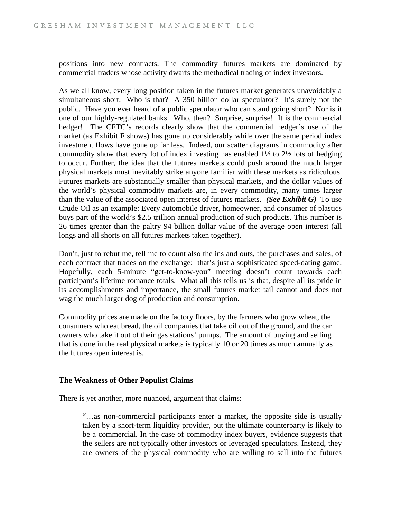positions into new contracts. The commodity futures markets are dominated by commercial traders whose activity dwarfs the methodical trading of index investors.

As we all know, every long position taken in the futures market generates unavoidably a simultaneous short. Who is that? A 350 billion dollar speculator? It's surely not the public. Have you ever heard of a public speculator who can stand going short? Nor is it one of our highly-regulated banks. Who, then? Surprise, surprise! It is the commercial hedger! The CFTC's records clearly show that the commercial hedger's use of the market (as Exhibit F shows) has gone up considerably while over the same period index investment flows have gone up far less. Indeed, our scatter diagrams in commodity after commodity show that every lot of index investing has enabled 1½ to 2½ lots of hedging to occur. Further, the idea that the futures markets could push around the much larger physical markets must inevitably strike anyone familiar with these markets as ridiculous. Futures markets are substantially smaller than physical markets, and the dollar values of the world's physical commodity markets are, in every commodity, many times larger than the value of the associated open interest of futures markets. *(See Exhibit G)* To use Crude Oil as an example: Every automobile driver, homeowner, and consumer of plastics buys part of the world's \$2.5 trillion annual production of such products. This number is 26 times greater than the paltry 94 billion dollar value of the average open interest (all longs and all shorts on all futures markets taken together).

Don't, just to rebut me, tell me to count also the ins and outs, the purchases and sales, of each contract that trades on the exchange: that's just a sophisticated speed-dating game. Hopefully, each 5-minute "get-to-know-you" meeting doesn't count towards each participant's lifetime romance totals. What all this tells us is that, despite all its pride in its accomplishments and importance, the small futures market tail cannot and does not wag the much larger dog of production and consumption.

Commodity prices are made on the factory floors, by the farmers who grow wheat, the consumers who eat bread, the oil companies that take oil out of the ground, and the car owners who take it out of their gas stations' pumps. The amount of buying and selling that is done in the real physical markets is typically 10 or 20 times as much annually as the futures open interest is.

### **The Weakness of Other Populist Claims**

There is yet another, more nuanced, argument that claims:

"…as non-commercial participants enter a market, the opposite side is usually taken by a short-term liquidity provider, but the ultimate counterparty is likely to be a commercial. In the case of commodity index buyers, evidence suggests that the sellers are not typically other investors or leveraged speculators. Instead, they are owners of the physical commodity who are willing to sell into the futures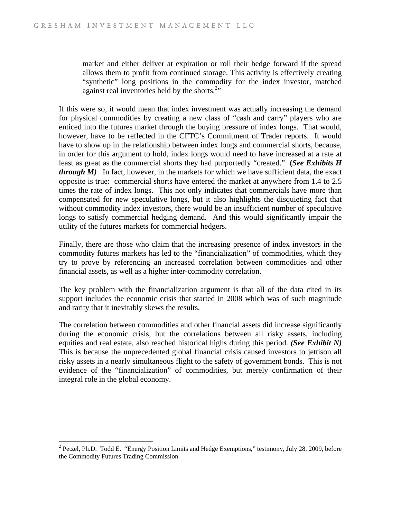market and either deliver at expiration or roll their hedge forward if the spread allows them to profit from continued storage. This activity is effectively creating "synthetic" long positions in the commodity for the index investor, matched against real inventories held by the shorts. $2$ <sup>2</sup>

If this were so, it would mean that index investment was actually increasing the demand for physical commodities by creating a new class of "cash and carry" players who are enticed into the futures market through the buying pressure of index longs. That would, however, have to be reflected in the CFTC's Commitment of Trader reports. It would have to show up in the relationship between index longs and commercial shorts, because, in order for this argument to hold, index longs would need to have increased at a rate at least as great as the commercial shorts they had purportedly "created." **(***See Exhibits H through M)* In fact, however, in the markets for which we have sufficient data, the exact opposite is true: commercial shorts have entered the market at anywhere from 1.4 to 2.5 times the rate of index longs. This not only indicates that commercials have more than compensated for new speculative longs, but it also highlights the disquieting fact that without commodity index investors, there would be an insufficient number of speculative longs to satisfy commercial hedging demand. And this would significantly impair the utility of the futures markets for commercial hedgers.

Finally, there are those who claim that the increasing presence of index investors in the commodity futures markets has led to the "financialization" of commodities, which they try to prove by referencing an increased correlation between commodities and other financial assets, as well as a higher inter-commodity correlation.

The key problem with the financialization argument is that all of the data cited in its support includes the economic crisis that started in 2008 which was of such magnitude and rarity that it inevitably skews the results.

The correlation between commodities and other financial assets did increase significantly during the economic crisis, but the correlations between all risky assets, including equities and real estate, also reached historical highs during this period. *(See Exhibit N)* This is because the unprecedented global financial crisis caused investors to jettison all risky assets in a nearly simultaneous flight to the safety of government bonds. This is not evidence of the "financialization" of commodities, but merely confirmation of their integral role in the global economy.

 $\overline{a}$ 

 $2^2$  Petzel, Ph.D. Todd E. "Energy Position Limits and Hedge Exemptions," testimony, July 28, 2009, before the Commodity Futures Trading Commission.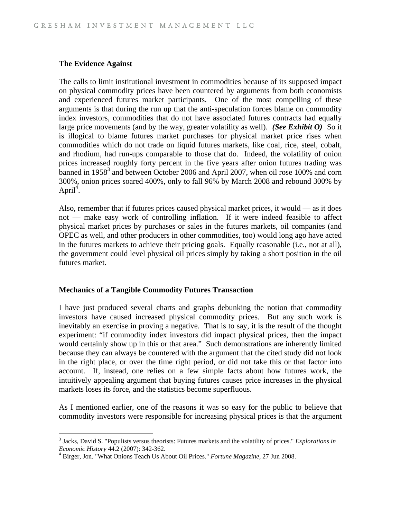### **The Evidence Against**

 $\overline{a}$ 

The calls to limit institutional investment in commodities because of its supposed impact on physical commodity prices have been countered by arguments from both economists and experienced futures market participants. One of the most compelling of these arguments is that during the run up that the anti-speculation forces blame on commodity index investors, commodities that do not have associated futures contracts had equally large price movements (and by the way, greater volatility as well). *(See Exhibit O)* So it is illogical to blame futures market purchases for physical market price rises when commodities which do not trade on liquid futures markets, like coal, rice, steel, cobalt, and rhodium, had run-ups comparable to those that do. Indeed, the volatility of onion prices increased roughly forty percent in the five years after onion futures trading was banned in 1958<sup>3</sup> and between October 2006 and April 2007, when oil rose 100% and corn 300%, onion prices soared 400%, only to fall 96% by March 2008 and rebound 300% by April<sup>4</sup>.

Also, remember that if futures prices caused physical market prices, it would — as it does not — make easy work of controlling inflation. If it were indeed feasible to affect physical market prices by purchases or sales in the futures markets, oil companies (and OPEC as well, and other producers in other commodities, too) would long ago have acted in the futures markets to achieve their pricing goals. Equally reasonable (i.e., not at all), the government could level physical oil prices simply by taking a short position in the oil futures market.

### **Mechanics of a Tangible Commodity Futures Transaction**

I have just produced several charts and graphs debunking the notion that commodity investors have caused increased physical commodity prices. But any such work is inevitably an exercise in proving a negative. That is to say, it is the result of the thought experiment: "if commodity index investors did impact physical prices, then the impact would certainly show up in this or that area." Such demonstrations are inherently limited because they can always be countered with the argument that the cited study did not look in the right place, or over the time right period, or did not take this or that factor into account. If, instead, one relies on a few simple facts about how futures work, the intuitively appealing argument that buying futures causes price increases in the physical markets loses its force, and the statistics become superfluous.

As I mentioned earlier, one of the reasons it was so easy for the public to believe that commodity investors were responsible for increasing physical prices is that the argument

<sup>3</sup> Jacks, David S. "Populists versus theorists: Futures markets and the volatility of prices." *Explorations in Economic History* 44.2 (2007): 342-362. 4

Birger, Jon. "What Onions Teach Us About Oil Prices." *Fortune Magazine,* 27 Jun 2008.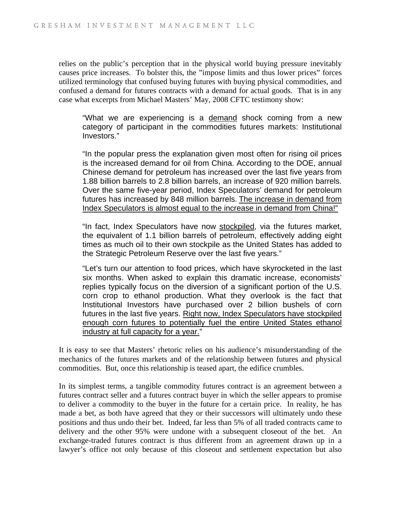relies on the public's perception that in the physical world buying pressure inevitably causes price increases. To bolster this, the "impose limits and thus lower prices" forces utilized terminology that confused buying futures with buying physical commodities, and confused a demand for futures contracts with a demand for actual goods. That is in any case what excerpts from Michael Masters' May, 2008 CFTC testimony show:

"What we are experiencing is a demand shock coming from a new category of participant in the commodities futures markets: Institutional Investors."

"In the popular press the explanation given most often for rising oil prices is the increased demand for oil from China. According to the DOE, annual Chinese demand for petroleum has increased over the last five years from 1.88 billion barrels to 2.8 billion barrels, an increase of 920 million barrels. Over the same five-year period, Index Speculators' demand for petroleum futures has increased by 848 million barrels. The increase in demand from Index Speculators is almost equal to the increase in demand from China!"

"In fact, Index Speculators have now stockpiled, via the futures market, the equivalent of 1.1 billion barrels of petroleum, effectively adding eight times as much oil to their own stockpile as the United States has added to the Strategic Petroleum Reserve over the last five years."

"Let's turn our attention to food prices, which have skyrocketed in the last six months. When asked to explain this dramatic increase, economists' replies typically focus on the diversion of a significant portion of the U.S. corn crop to ethanol production. What they overlook is the fact that Institutional Investors have purchased over 2 billion bushels of corn futures in the last five years. Right now, Index Speculators have stockpiled enough corn futures to potentially fuel the entire United States ethanol industry at full capacity for a year."

It is easy to see that Masters' rhetoric relies on his audience's misunderstanding of the mechanics of the futures markets and of the relationship between futures and physical commodities. But, once this relationship is teased apart, the edifice crumbles.

In its simplest terms, a tangible commodity futures contract is an agreement between a futures contract seller and a futures contract buyer in which the seller appears to promise to deliver a commodity to the buyer in the future for a certain price. In reality, he has made a bet, as both have agreed that they or their successors will ultimately undo these positions and thus undo their bet. Indeed, far less than 5% of all traded contracts came to delivery and the other 95% were undone with a subsequent closeout of the bet. An exchange-traded futures contract is thus different from an agreement drawn up in a lawyer's office not only because of this closeout and settlement expectation but also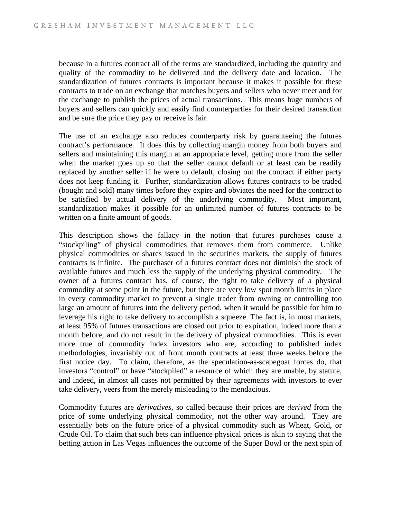because in a futures contract all of the terms are standardized, including the quantity and quality of the commodity to be delivered and the delivery date and location. The standardization of futures contracts is important because it makes it possible for these contracts to trade on an exchange that matches buyers and sellers who never meet and for the exchange to publish the prices of actual transactions. This means huge numbers of buyers and sellers can quickly and easily find counterparties for their desired transaction and be sure the price they pay or receive is fair.

The use of an exchange also reduces counterparty risk by guaranteeing the futures contract's performance. It does this by collecting margin money from both buyers and sellers and maintaining this margin at an appropriate level, getting more from the seller when the market goes up so that the seller cannot default or at least can be readily replaced by another seller if he were to default, closing out the contract if either party does not keep funding it. Further, standardization allows futures contracts to be traded (bought and sold) many times before they expire and obviates the need for the contract to be satisfied by actual delivery of the underlying commodity. Most important, standardization makes it possible for an unlimited number of futures contracts to be written on a finite amount of goods.

This description shows the fallacy in the notion that futures purchases cause a "stockpiling" of physical commodities that removes them from commerce. Unlike physical commodities or shares issued in the securities markets, the supply of futures contracts is infinite. The purchaser of a futures contract does not diminish the stock of available futures and much less the supply of the underlying physical commodity. The owner of a futures contract has, of course, the right to take delivery of a physical commodity at some point in the future, but there are very low spot month limits in place in every commodity market to prevent a single trader from owning or controlling too large an amount of futures into the delivery period, when it would be possible for him to leverage his right to take delivery to accomplish a squeeze. The fact is, in most markets, at least 95% of futures transactions are closed out prior to expiration, indeed more than a month before, and do not result in the delivery of physical commodities. This is even more true of commodity index investors who are, according to published index methodologies, invariably out of front month contracts at least three weeks before the first notice day. To claim, therefore, as the speculation-as-scapegoat forces do, that investors "control" or have "stockpiled" a resource of which they are unable, by statute, and indeed, in almost all cases not permitted by their agreements with investors to ever take delivery, veers from the merely misleading to the mendacious.

Commodity futures are *derivatives*, so called because their prices are *derived* from the price of some underlying physical commodity, not the other way around. They are essentially bets on the future price of a physical commodity such as Wheat, Gold, or Crude Oil. To claim that such bets can influence physical prices is akin to saying that the betting action in Las Vegas influences the outcome of the Super Bowl or the next spin of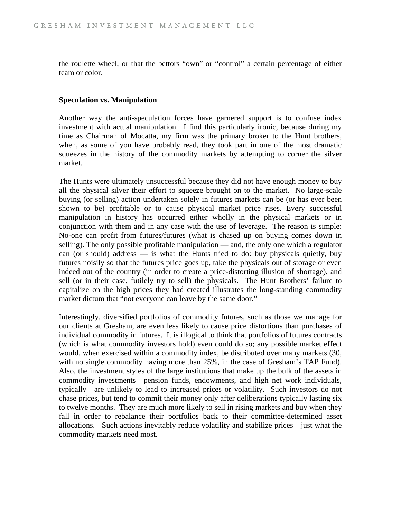the roulette wheel, or that the bettors "own" or "control" a certain percentage of either team or color.

### **Speculation vs. Manipulation**

Another way the anti-speculation forces have garnered support is to confuse index investment with actual manipulation. I find this particularly ironic, because during my time as Chairman of Mocatta, my firm was the primary broker to the Hunt brothers, when, as some of you have probably read, they took part in one of the most dramatic squeezes in the history of the commodity markets by attempting to corner the silver market.

The Hunts were ultimately unsuccessful because they did not have enough money to buy all the physical silver their effort to squeeze brought on to the market. No large-scale buying (or selling) action undertaken solely in futures markets can be (or has ever been shown to be) profitable or to cause physical market price rises. Every successful manipulation in history has occurred either wholly in the physical markets or in conjunction with them and in any case with the use of leverage. The reason is simple: No-one can profit from futures/futures (what is chased up on buying comes down in selling). The only possible profitable manipulation — and, the only one which a regulator can (or should) address — is what the Hunts tried to do: buy physicals quietly, buy futures noisily so that the futures price goes up, take the physicals out of storage or even indeed out of the country (in order to create a price-distorting illusion of shortage), and sell (or in their case, futilely try to sell) the physicals. The Hunt Brothers' failure to capitalize on the high prices they had created illustrates the long-standing commodity market dictum that "not everyone can leave by the same door."

Interestingly, diversified portfolios of commodity futures, such as those we manage for our clients at Gresham, are even less likely to cause price distortions than purchases of individual commodity in futures. It is illogical to think that portfolios of futures contracts (which is what commodity investors hold) even could do so; any possible market effect would, when exercised within a commodity index, be distributed over many markets (30, with no single commodity having more than 25%, in the case of Gresham's TAP Fund). Also, the investment styles of the large institutions that make up the bulk of the assets in commodity investments—pension funds, endowments, and high net work individuals, typically—are unlikely to lead to increased prices or volatility. Such investors do not chase prices, but tend to commit their money only after deliberations typically lasting six to twelve months. They are much more likely to sell in rising markets and buy when they fall in order to rebalance their portfolios back to their committee-determined asset allocations. Such actions inevitably reduce volatility and stabilize prices—just what the commodity markets need most.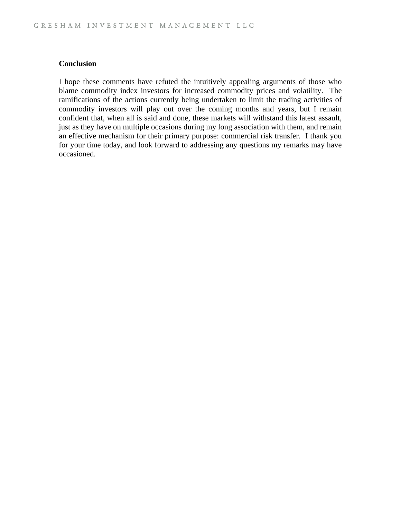### **Conclusion**

I hope these comments have refuted the intuitively appealing arguments of those who blame commodity index investors for increased commodity prices and volatility. The ramifications of the actions currently being undertaken to limit the trading activities of commodity investors will play out over the coming months and years, but I remain confident that, when all is said and done, these markets will withstand this latest assault, just as they have on multiple occasions during my long association with them, and remain an effective mechanism for their primary purpose: commercial risk transfer. I thank you for your time today, and look forward to addressing any questions my remarks may have occasioned.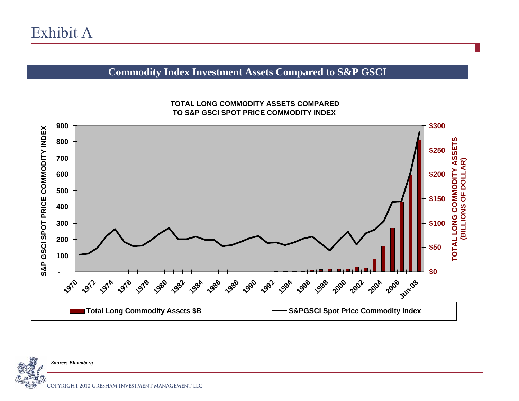## **Commodity Index Investment Assets Compared to S&P GSCI**



### **TOTAL LONG COMMODITY ASSETS COMPARED TO S&P GSCI SPOT PRICE COMMODITY INDEX**

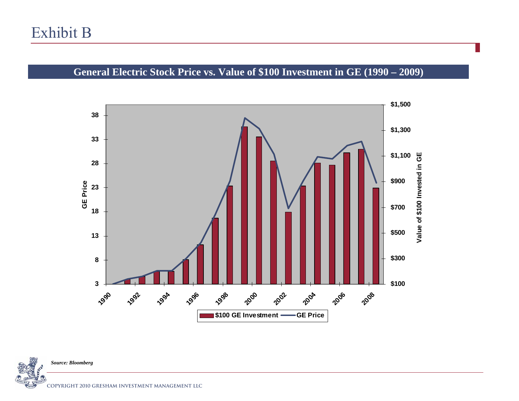## **General Electric Stock Price vs. Value of \$100 Investment in GE (1990 – 2009)**



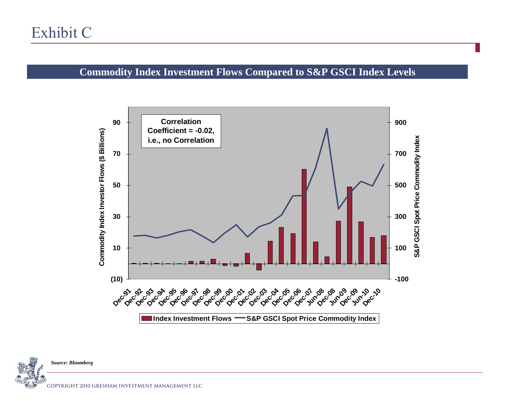## **Commodity Index Investment Flows Compared to S&P GSCI Index Levels**



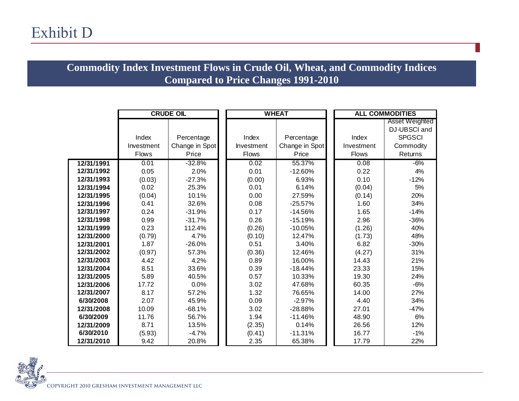## **Commodity Index Investment Flows in Crude Oil, Wheat, and Commodity Indices Compared to Price Changes 1991-2010**

|            | <b>CRUDE OIL</b> |                | <b>WHEAT</b> |                |  | <b>ALL COMMODITIES</b> |                |
|------------|------------------|----------------|--------------|----------------|--|------------------------|----------------|
|            |                  |                |              |                |  |                        | Asset Weighted |
|            |                  |                |              |                |  |                        | DJ-UBSCI and   |
|            | Index            | Percentage     | Index        | Percentage     |  | Index                  | <b>SPGSCI</b>  |
|            | Investment       | Change in Spot | Investment   | Change in Spot |  | Investment             | Commodity      |
|            | <b>Flows</b>     | Price          | <b>Flows</b> | Price          |  | <b>Flows</b>           | Returns        |
| 12/31/1991 | 0.01             | $-32.8%$       | 0.02         | 55.37%         |  | 0.08                   | $-6%$          |
| 12/31/1992 | 0.05             | 2.0%           | 0.01         | $-12.60%$      |  | 0.22                   | 4%             |
| 12/31/1993 | (0.03)           | $-27.3%$       | (0.00)       | 6.93%          |  | 0.10                   | $-12%$         |
| 12/31/1994 | 0.02             | 25.3%          | 0.01         | 6.14%          |  | (0.04)                 | 5%             |
| 12/31/1995 | (0.04)           | 10.1%          | 0.00         | 27.59%         |  | (0.14)                 | 20%            |
| 12/31/1996 | 0.41             | 32.6%          | 0.08         | $-25.57%$      |  | 1.60                   | 34%            |
| 12/31/1997 | 0.24             | $-31.9%$       | 0.17         | $-14.56%$      |  | 1.65                   | $-14%$         |
| 12/31/1998 | 0.99             | $-31.7%$       | 0.26         | $-15.19%$      |  | 2.96                   | $-36%$         |
| 12/31/1999 | 0.23             | 112.4%         | (0.26)       | $-10.05%$      |  | (1.26)                 | 40%            |
| 12/31/2000 | (0.79)           | 4.7%           | (0.10)       | 12.47%         |  | (1.73)                 | 48%            |
| 12/31/2001 | 1.87             | $-26.0%$       | 0.51         | 3.40%          |  | 6.82                   | $-30%$         |
| 12/31/2002 | (0.97)           | 57.3%          | (0.36)       | 12.46%         |  | (4.27)                 | 31%            |
| 12/31/2003 | 4.42             | 4.2%           | 0.89         | 16.00%         |  | 14.43                  | 21%            |
| 12/31/2004 | 8.51             | 33.6%          | 0.39         | $-18.44%$      |  | 23.33                  | 15%            |
| 12/31/2005 | 5.89             | 40.5%          | 0.57         | 10.33%         |  | 19.30                  | 24%            |
| 12/31/2006 | 17.72            | 0.0%           | 3.02         | 47.68%         |  | 60.35                  | $-6%$          |
| 12/31/2007 | 8.17             | 57.2%          | 1.32         | 76.65%         |  | 14.00                  | 27%            |
| 6/30/2008  | 2.07             | 45.9%          | 0.09         | $-2.97%$       |  | 4.40                   | 34%            |
| 12/31/2008 | 10.09            | $-68.1%$       | 3.02         | $-28.88%$      |  | 27.01                  | $-47%$         |
| 6/30/2009  | 11.76            | 56.7%          | 1.94         | $-11.46%$      |  | 48.90                  | 6%             |
| 12/31/2009 | 8.71             | 13.5%          | (2.35)       | 0.14%          |  | 26.56                  | 12%            |
| 6/30/2010  | (5.93)           | $-4.7%$        | (0.41)       | $-11.31%$      |  | 16.77                  | $-1%$          |
| 12/31/2010 | 9.42             | 20.8%          | 2.35         | 65.38%         |  | 17.79                  | 22%            |

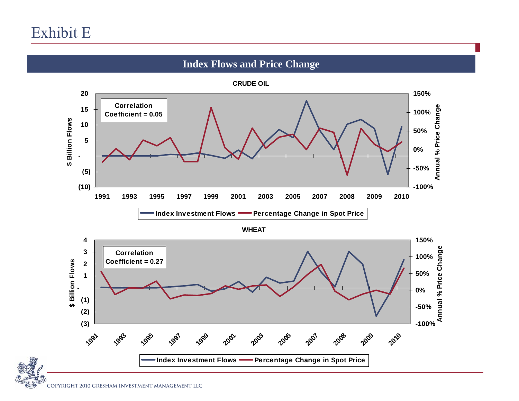## **Index Flows and Price Change**

**CRUDE OIL**

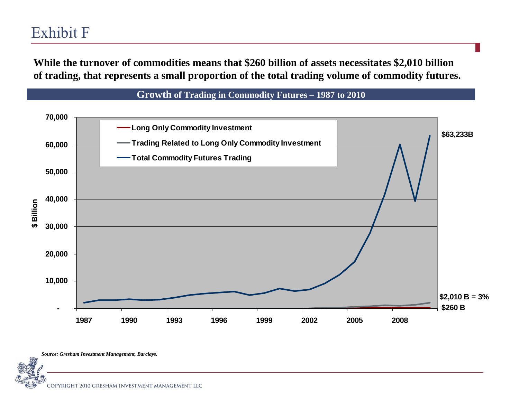## Exhibit F

**While the turnover of commodities means that \$260 billion of assets necessitates \$2,010 billion of trading, that represents a small proportion of the total trading volume of commodity futures.**



*Source: Gresham Investment Management, Barclays.*

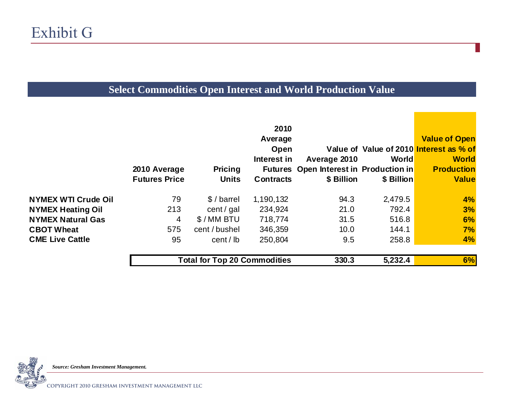## **Select Commodities Open Interest and World Production Value**

|                            | 2010 Average<br><b>Futures Price</b> | <b>Pricing</b><br><b>Units</b>      | 2010<br>Average<br>Open<br>Interest in<br><b>Contracts</b> | Average 2010<br>Futures Open Interest in Production in<br>\$ Billion | World<br>\$ Billion | <b>Value of Open</b><br>Value of Value of 2010 Interest as % of<br><b>World</b><br><b>Production</b><br><b>Value</b> |
|----------------------------|--------------------------------------|-------------------------------------|------------------------------------------------------------|----------------------------------------------------------------------|---------------------|----------------------------------------------------------------------------------------------------------------------|
| <b>NYMEX WTI Crude Oil</b> | 79                                   | \$/barel                            | 1,190,132                                                  | 94.3                                                                 | 2,479.5             | 4%                                                                                                                   |
| <b>NYMEX Heating Oil</b>   | 213                                  | cent / $gal$                        | 234,924                                                    | 21.0                                                                 | 792.4               | 3%                                                                                                                   |
| <b>NYMEX Natural Gas</b>   | $\overline{4}$                       | \$/MM BTU                           | 718,774                                                    | 31.5                                                                 | 516.8               | 6%                                                                                                                   |
| <b>CBOT Wheat</b>          | 575                                  | cent / bushel                       | 346,359                                                    | 10.0                                                                 | 144.1               | 7%                                                                                                                   |
| <b>CME Live Cattle</b>     | 95                                   | cent / lb                           | 250,804                                                    | 9.5                                                                  | 258.8               | 4%                                                                                                                   |
|                            |                                      | <b>Total for Top 20 Commodities</b> |                                                            | 330.3                                                                | 5,232.4             | 6%                                                                                                                   |



*Source: Gresham Investment Management.*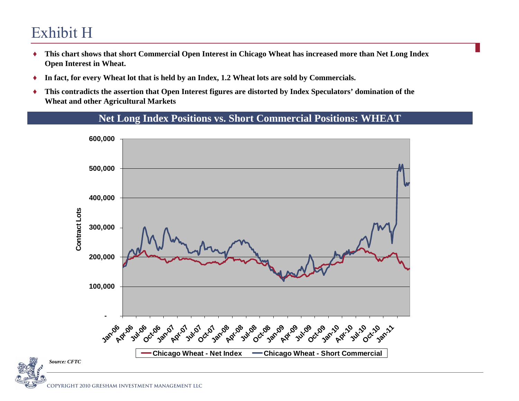# Exhibit H

- ♦ **This chart shows that short Commercial Open Interest in Chicago Wheat has increased more than Net Long Index Open Interest in Wheat.**
- ♦In fact, for every Wheat lot that is held by an Index, 1.2 Wheat lots are sold by Commercials.
- ♦ **This contradicts the assertion that Open Interest figures are distorted by Index Speculators' domination of the Wheat and other Agricultural Markets**



## **Net Long Index Positions vs. Short Commercial Positions: WHEAT**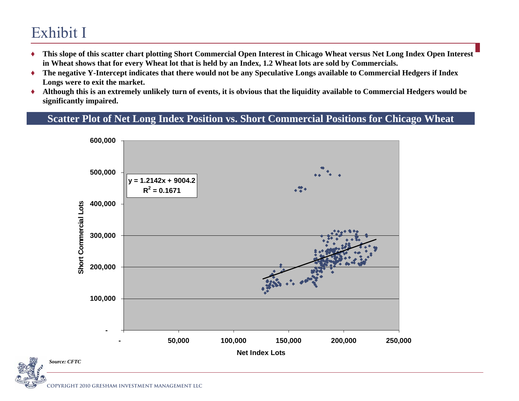# Exhibit I

- ♦ **This slope of this scatter chart plotting Short Commercial Open Interest in Chicago Wheat versus Net Long Index Open Interest in Wheat shows that for every Wheat lot that is held by an Index, 1.2 Wheat lots are sold by Commercials.**
- ♦ **The negative Y-Intercept indicates that there would not be any Speculative Longs available to Commercial Hedgers if Index Longs were to exit the market.**
- ♦ **Although this is an extremely unlikely turn of events, it is obvious that the liquidity available to Commercial Hedgers would be significantly impaired.**

## **Scatter Plot of Net Long Index Position vs. Short Commercial Positions for Chicago Wheat**

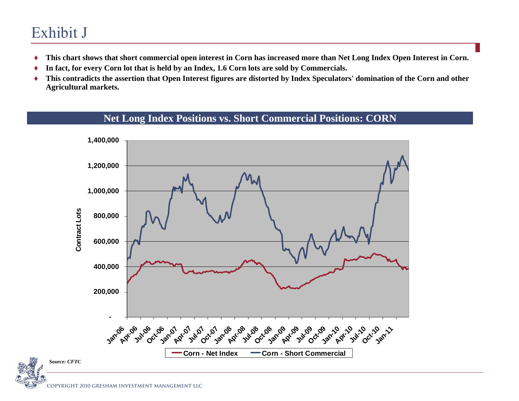# Exhibit J

- ♦**This chart shows that short commercial open interest in Corn has increased more than Net Long Index Open Interest in Corn.**
- ♦**In fact, for every Corn lot that is held by an Index, 1.6 Corn lots are sold by Commercials.**
- ♦ **This contradicts the assertion that Open Interest figures are distorted by Index Speculators' domination of the Corn and other Agricultural markets.**



## **Net Long Index Positions vs. Short Commercial Positions: CORN**

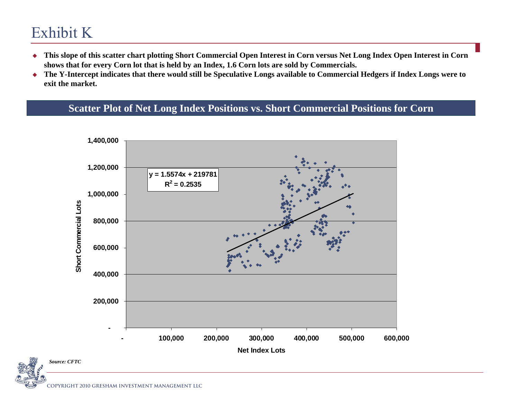# Exhibit K

- $\bullet$  **This slope of this scatter chart plotting Short Commercial Open Interest in Corn versus Net Long Index Open Interest in Corn**  shows that for every Corn lot that is held by an Index, 1.6 Corn lots are sold by Commercials.
- **The Y-Intercept indicates that there would still be Speculative Longs available to Commercial Hedgers if Index Longs were to exit the market.**

## **Scatter Plot of Net Long Index Positions vs. Short Commercial Positions for Corn**

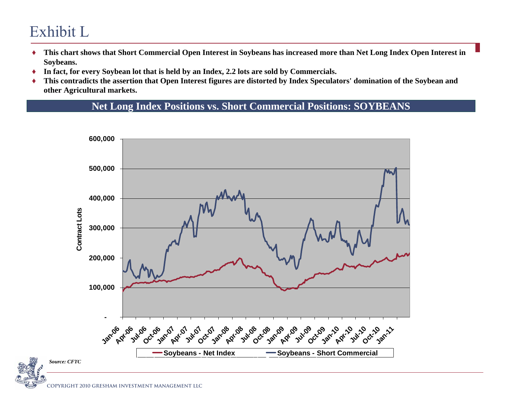# Exhibit L

- ♦ **This chart shows that Short Commercial Open Interest in Soybeans has increased more than Net Long Index Open Interest in Soybeans.**
- ♦**In fact, for every Soybean lot that is held by an Index, 2.2 lots are sold by Commercials.**
- ♦ **This contradicts the assertion that Open Interest figures are distorted by Index Speculators' domination of the Soybean and other Agricultural markets.**

**Net Long Index Positions vs. Short Commercial Positions: SOYBEANS**

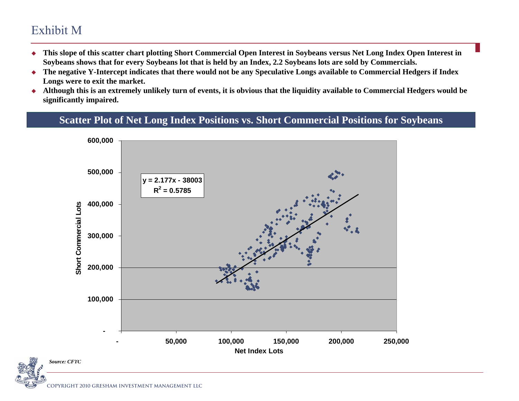## Exhibit M

- ٠ **This slope of this scatter chart plotting Short Commercial Open Interest in Soybeans versus Net Long Index Open Interest in Soybeans shows that for every Soybeans lot that is held by an Index, 2.2 Soybeans lots are sold by Commercials.**
- $\blacklozenge$  **The negative Y-Intercept indicates that there would not be any Speculative Longs available to Commercial Hedgers if Index Longs were to exit the market.**
- $\blacklozenge$  **Although this is an extremely unlikely turn of events, it is obvious that the liquidity available to Commercial Hedgers would be significantly impaired.**

## **Scatter Plot of Net Long Index Positions vs. Short Commercial Positions for Soybeans**

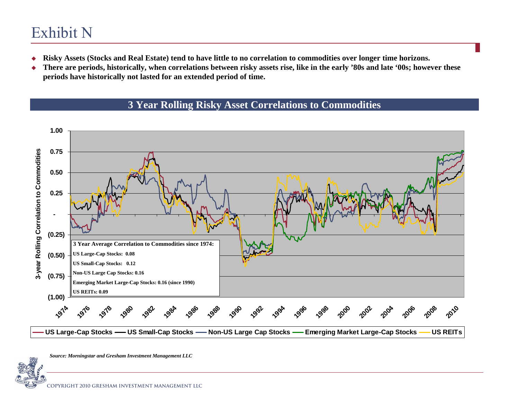# Exhibit N

- ٠ **Risky Assets (Stocks and Real Estate) tend to have little to no correlation to commodities over longer time horizons.**
- ٠ **There are periods, historically, when correlations between risky assets rise, like in the early '80s and late '00s; however these periods have historically not lasted for an extended period of time.**

## **3 Year Rolling Risky Asset Correlations to Commodities**



*Source: Morningstar and Gresham Investment Management LLC*